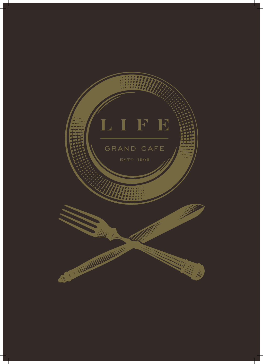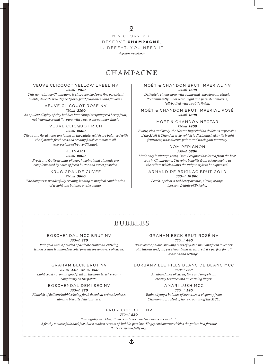#### $\mathcal{Q}$

IN VICTORY YOU

DESERVE CHAMPAGNE,

IN DEFEAT, YOU NEED IT

*Napoleon Bonaparte* 

## CHAMPAGNE

#### VEUVE CLICQUOT YELLOW LABEL NV *750ml 1900*

*This non-vintage Champagne is characterized by a fine persistent bubble, delicate well defined floral fruit fragrances and flavours.*

VEUVE CLICQUOT ROSÉ NV

*750ml 2300 An opulent display of tiny bubbles launching intriguing red berry fruit, nut fragrances and flavours with a generous complex finish.*

VEUVE CLICQUOT RICH

*750ml 2600*

*Citrus and floral notes are found on the palate, which are balanced with the dynamic freshness and creamy finish common to all expressions of Veuve Clicquot.*

#### RUINART

*750ml 2200 Fresh and fruity aromas of pear, hazelnut and almonds are complemented by notes of fresh butter and sweet pastries.*

KRUG GRANDE CUVÉE

*750ml 5800 The bouquet is wonderfully creamy, leading to magical combination of weight and balance on the palate.*

MOËT & CHANDON BRUT IMPÉRIAL NV *750ml 1600*

*Delicately vinous nose with a lime and vine blossom attack. Predominantly Pinot Noir. Light and persistent mousse, full-bodied with a subtle finish.*

MOËT & CHANDON BRUT IMPÉRIAL ROSÉ *750ml 1800*

> MOËT & CHANDON NECTAR *750ml 1800*

*Exotic, rich and lively, the Nectar Impérial is a delicious expression of the Moët & Chandon style, which is distinguished by its bright fruitiness, its seductive palate and its elegant maturity*

#### DOM PERIGNON *750ml 6800*

*Made only in vintage years, Dom Perignon is selected from the best crus in Champagne. The wine benefits from a long ageing in the cellars which allows the unique style to be expressed.*

> ARMAND DE BRIGNAC BRUT GOLD *750ml 10 800*

*Peach, apricot & red berry aromas; citrus, orange blossom & hints of Brioche.*

## **BUEBELES**

#### BOSCHENDAL MCC BRUT NV

*750ml 380 Pale gold with a flourish of delicate bubbles & enticing lemon cream & almond biscotti precede lovely layers of citrus.*

GRAHAM BECK BRUT NV *750ml 440 375ml 260 Light yeasty aromas, good fruit on the nose & rich creamy complexity on the palate.*

BOSCHENDAL DEMI SEC NV *750ml 380 Flourish of delicate bubbles bring forth decadent créme brulee &* 

*almond biscotti deliciousness.*

GRAHAM BECK BRUT ROSÉ NV *750ml 440*

*Brisk on the palate, showing hints of oyster shell and fresh lavender. Flirtatious and fun, yet elegant and structured, it's perfect for all seasons and settings.*

DURBANVILLE HILLS BLANC DE BLANC MCC *750ml 368 An abundance of citrus, lime and grapefruit,* 

*creamy texture with an enticing linger.*

AMARI LUSH MCC *750ml 580*

*Embondying a balance of structure & elegancy from Chardonnay. a Hint of honey rounds off the MCC.*

#### PROSECCO BRUT NV

*750ml 580* 

*This lightly sparkling Prosecco shows a distinct brass green glint. A frothy mousse falls backfast, but a modest stream of bubble persists. Tingly carbonation tickles the palate in a flavour thats crisp and fully dry.*

土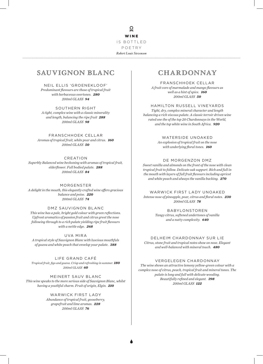WINE IS BOTTLED POETRY *Robert Louis Stevenson*

## SAUVIGNON BLANC

NEIL ELLIS 'GROENEKLOOF' *Predominant flavours are those of tropical fruit with herbaceous overtones. 280 200ml GLASS 94*

SOUTHERN RIGHT *A tight, complex wine with a classic minerality and length, balancing the ripe fruit 288 200ml GLASS 98*

FRANSCHHOEK CELLAR *Aromas of tropical fruit, white pear and citrus. 160 200ml GLASS 50*

CREATION *Superbly Balanced wine beckoning with aromas of tropical fruit, elderflower. Full bodied palate. 288 200ml GLASS 84*

MORGENSTER *A delight in the mouth, this elegantly crafted wine offers gracious balance and poise. 220 200ml GLASS 74*

DMZ SAUVIGNON BLANC *This wine has a pale, bright gold colour with green reflections. Upfront aromatics of passion fruit and citrus greet the nose following through to a rich palate yielding ripe fruit flavours with a nettle edge. 268*

UVA MIRA *A tropical style of Sauvignon Blanc with luscious mouthfuls of guava and white peach that envelop your palate. 388*

LIFE GRAND CAFÉ *Tropical fruit, figs and guava. Crisp and refreshing in summer. 180 200ml GLASS 60*

MEINERT SAUV BLANC *This wine speaks to the more serious side of Sauvignon Blanc, whilst having a youthful charm. Fruit of origin, Elgin. 210*

> WARWICK FIRST LADY *Abundance of tropical fruit, gooseberry, grapefruit and lime aromas. 228 200ml GLASS 76*

## CHARDONNAY

FRANSCHHOEK CELLAR *A fruit core of marmalade and mango flavours as well as a hint of spice. 160 200ml GLASS 50*

HAMILTON RUSSELL VINEYARDS

*Tight, dry, complex mineral character and length balancing a rich viscous palate. A classic terroir driven wine rated one the of the top 20 Chardonnays in the World, and the top white wine in South Africa. 920*

WATERSIDE UNOAKED

*An explosion of tropical fruit on the nose with underlying floral tones. 160*

#### DE MORGENZON DMZ

*Sweet vanilla and almonds on the front of the nose with clean tropical fruit to follow. Delicate oak support. Rich and full in the mouth with layers of full fruit flavours including apricot and white peach and always the vanilla backing. 270*

WARWICK FIRST LADY UNOAKED *Intense nose of pineapple, pear, citrus and floral notes. 230 200ml GLASS 78*

> BABYLONSTOREN *Tangy citrus, softened undertones of vanilla and a nutty complexity. 640*

#### DELHEIM CHARDONNAY SUR LIE

*Citrus, stone fruit and tropical notes show on nose. Elegant and well-balanced with mineral touch. 480*

#### VERGELEGEN CHARDONNAY

*The wine shows an attractive lemony yellow-green colour with a complex nose of citrus, peach, tropical fruit and mineral tones. The palate is long and full with delicate wooding. Beautifully refined and elegant. 398 200ml GLASS 122*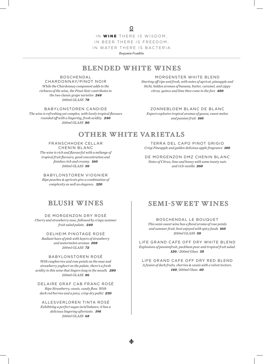$\overline{Q}$ 

IN WINE THERE IS WISDOM, IN BEER THERE IS FREEDOM, IN WATER THERE IS BACTERIA

*Benjamin Franklin* 

## BLENDED WHITE WINES

#### BOSCHENDAL

CHARDONNAY/PINOT NOIR *While the Chardonnay component adds to the richness of the wine, the Pinot Noir contributes to the two classic grape varieties 248 200ml GLASS 78*

BABYLONSTOREN CANDIDE *The wine is refreshing yet complex, with lovely tropical flavours rounded off with a lingering, fresh acidity. 240 200ml GLASS 80*

MORGENSTER WHITE BLEND *Starting off ripe and fresh, with notes of apricot, pineapple and litchi, hidden aromas of banana, butter, caramel, and zippy citrus, quince and lime then come to the fore 480*

ZONNEBLOEM BLANC DE BLANC *Expect explosive tropical aromas of guava, sweet melon and passion fruit 160*

## OTHER WHITE VARIETALS

FRANSCHHOEK CELLAR CHENIN BLANC *The wine is rich and flavourful with a mélange of tropical fruit flavours, good concentration and finishes rich and creamy. 160 200ml GLASS 50*

BABYLONSTOREN VIOGNIER *Ripe peaches & apricots give a combination of complexity as well as elegance. 320*

TERRA DEL CAPO PINOT GRIGIO *Crisp Pineapple and golden delicious apple fragrance 180*

DE MORGENZON DMZ CHENIN BLANC *Notes of Citrus, lime and honey with some toasty nuts and rich vanilla 260*

### BLUSH WINES

DE MORGENZON DRY ROSÉ *Cherry and strawberry nose, followed by crispy summer fruit salad palate. 240*

DELHEIM PINOTAGE ROSÉ *Radiant hues of pink with layers of strawberry and watermelon aromas 208 200ml GLASS 72*

BABYLONSTOREN ROSÉ *With raspberries and rose petals on the nose and strawberry yoghurt on the palate, there's a fresh acidity to this wine that lingers long in the mouth. 280 200ml GLASS 86*

DELAIRE GRAF CAB FRANC ROSÉ *Ripe Strawberry, cassis, candy floss. With dark red berries and a juicy, crisp dry pallet 230*

ALLESVERLOREN TINTA ROSÉ *Exhibiting a perfect sugar/acid balance, it has a delicious lingering aftertaste. 198 200ml GLASS 68*

## Semi-Sweet Wines

BOSCHENDAL LE BOUQUET

*This semi-sweet wine has a floral aroma of rose petals and summer fruit, best enjoyed with spicy foods 160 200ml GLASS 50*

LIFE GRAND CAFE OFF DRY WHITE BLEND *Explosions of passionfruit, packham pear and tropical fruit salad. 120 / 200ml Glass 58*

LIFE GRAND CAFE OFF DRY RED BLEND *A fusion of dark fruits, cherries & cassis with a velvet texture. 140 /200ml Glass 60*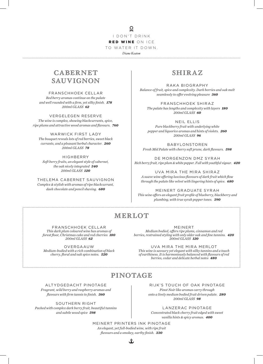$\mathcal{Q}$ I DON'T DRINK RED WINE ON ICE TO WATER IT DOWN.

*Diane Keaton*

## CABER NET SAUVIGNON

#### FRANSCHHOEK CELLAR

*Red berry aromas continue on the palate and well rounded with a firm, yet silky finish. 178 200ml GLASS 62*

VERGELEGEN RESERVE *The wine is complex, showing blackcurrants, spice, ripe plums and attractive wood aromas and flavours. 760*

WARWICK FIRST LADY *The bouquet reveals lots of red berries, sweet black currants, and a pleasant herbal character. 260 200ml GLASS 78*

**HIGHBFRRY** *Soft berry fruits, an elegant style of cabernet, the oak nicely integrated 340 200ml GLASS 120*

THELEMA CABERNET SAUVIGNON *Complex & stylish with aromas of ripe blackcurrant, daek chocolate and pencil shaving. 680*

### SHIRAZ

RAKA BIOGRAPHY *Balance of fruit, spice and complexity. Dark berries and oak melt seamlessly to offer evolving pleasure 360*

FRANSCHHOEK SHIRAZ *The palate has lengths and complexity with layers 180 200ml GLASS 60*

NEIL ELLIS *Pure blackberry fruit with underlying white pepper and liquorice aromas and hints of violets. 260 200ml GLASS 96*

BABYLONSTOREN *Fresh Mid Palate with cherry soft prune, dark flavours. 598*

DE MORGENZON DMZ SYRAH *Rich berry fruit, ripe plum & white pepper. Full with youthful vigour. 420*

UVA MIRA THE MIRA SHIRAZ *A suave wine offering luscious flavours of dark fruit which flow through the palate like velvet with lingering hints of spice. 680*

MEINERT GRADUATE SYRAH *This wine offers an elegant fruit profile of blueberry, blackberry and plumbing, with true syrah pepper tones. 390*

## MERLOT

FRANSCHHOEK CELLAR *This dark plum coloured wine has aromas of forest floor, Christmas cake and red cherries 180 200ml GLASS 62*

OVERGAAUW *Medium-bodied with a rich combination of black cherry, floral and oak spice notes. 520*

MEINERT

*Medium bodied, offers ripe plums, cinnamon and red berries, restrained styling with only older oak and fine tannins. 420 200ml GLASS 120*

UVA MIRA THE MIRA MERLOT *This wine is savoury yet elegant with silky tannins and a touch of earthiness. It is harmoniously balanced with flavours of red berries, cedar and delicate herbal notes 480*

## PINOTAGE

ALTYDGEDACHT PINOTAGE

*Fragrant, wild berry and raspberry aromas and flavours with firm tannis to finish. 360*

SOUTHERN RIGHT *Packed with complex dark berry fruit, beautiful tannins and subtle wood spice 598*

RIJK'S TOUCH OF OAK PINOTAGE *Pinot Noir like aromas carry through onto a lively medium bodied fruit driven palate. 280 200ml GLASS 98*

LANZERAC PINOTAGE *Concentrated black cherry fruit edged with sweet vanilla hints & spicy aromas. 400*

MEINERT PRINTERS INK PINOTAGE *An elegant, yet full-bodied wine, with ripe fruit flavours and a smokey, earthy finish. 330*

土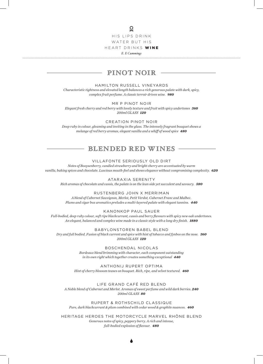#### $\overline{Q}$

HIS LIPS DRINK WATER BUT HIS

HEART DRINKS WINE

*E. E Cummings*

## pinot noir

#### HAMILTON RUSSELL VINEYARDS

*Characteristic tightness and elevated length balances a rich generous palate with dark, spicy, complex fruit perfume. A classic terroir driven wine. 980*

MR P PINOT NOIR

*Elegant fresh cherry and red berry with lovely texture and fruit with spicy undertones 360 200ml GLASS 120*

CREATION PINOT NOIR *Deep ruby in colour, gleaming and inviting in the glass. The intensely fragrant bouquet shows a melange of red berry aromas, elegant vanilla and a whiff of wood spice 480*

#### BLENDED RED WINES

#### VILLAFONTE SERIOUSLY OLD DIRT

*Notes of Booysenberry, candied strawberry and bright cherry are accentuated by warm vanilla, baking spices and chocolate. Luscious mouth-feel and shows elegance without compromising complexity. 620*

ATARAXIA SERENITY *Rich aromas of chocolate and cassis, the palate is on the lean side yet succulent and savoury. 580*

RUSTENBERG JOHN X MERRIMAN

*A blend of Cabernet Sauvignon, Merlot, Petit Verdot, Cabernet Franc and Malbec. Plums and cigar box aromatics preludes a multi-layered palate with elegant tannins. 440*

KANONKOP PAUL SAUER

*Full-bodied, deep ruby colour, soft ripe blackcurrant, cassis and berry flavours with spicy new oak undertones. An elegant, balanced and complex wine made in a classic style with a long dry finish. 1880*

BABYLONSTOREN BABEL BLEND

*Dry and full bodied. Fusion of black current and spice with hint of tobacco and fynbos on the nose. 360 200ml GLASS 120*

> BOSCHENDAL NICOLAS *Bordeaux blend brimming with character, each component outstanding in its own right which together creates something exceptional 440*

ANTHONIJ RUPERT OPTIMA *Hint of cherry blossom teases on bouquet. Rich, ripe, and velvet textured. 460*

LIFE GRAND CAFÉ RED BLEND *A Noble blend of Cabernet and Merlot. Aromas of sweet perfume and wild dark berries. 240 200ml GLASS 80*

RUPERT & ROTHSCHILD CLASSIQUE *Pure, dark blackcurrant & plum combined with cedar wood & graphite nuances. 460*

HERITAGE HEROES THE MOTORCYCLE MARVEL RHÔNE BLEND *Generous notes of spicy, peppery berry. A rich and intense, full-bodied explosion of flavour. 480*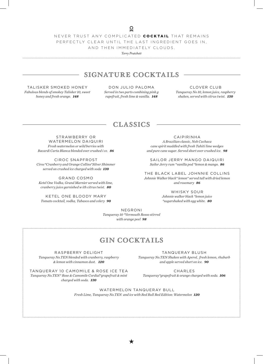NEVER TRUST ANY COMPLICATED COCKTAIL THAT REMAINS PERFECTLY CLEAR UNTIL THE LAST INGREDIENT GOES IN, AND THEN IMMEDIATELY CLOUDS.

*Terry Pratchett* 

## SIGNATURE COCKTAILS

TALISKER SMOKED HONEY *Fabulous blends of smokey Talisker 10, sweet honey and fresh orange. 148*

DON JULIO PALOMA *Served in two parts combining pink g rapefruit, fresh lime & vanilla. 148*

CLOVER CLUB *Tanqueray No 10, lemon juice, raspberry shaken, served with citrus twist. 130*

#### CLASSICS

STRAWBERRY OR WATERMELON DAIQUIRI *Fresh watermelon or wild berries with Bacardi Carta Blanca blended over crushed i ce. 86*

CIROC SNAPFROST *Ciroc\*Cranberry and Orange Collins\*Silver Shimmer served on crushed ice charged with soda 130*

GRAND COSMO *Ketel One Vodka, Grand Marnier served with lime, cranberry juice garnished w ith citrus twist. 80*

KETEL ONE BLOODY MARY *Tomato cocktail, vodka, Tabasco and celery 90* CAIPIRINHA

*A Brazilian classic, Noh Cuchaca cane spirit muddled with fresh Tahiti lime wedges and pure cane sugar. Served short over crushed ice. 98*

SAILOR JERRY MANGO DAIQUIRI *Sailor Jerry rum \*vanilla pod \*lemon & mango. 86*

THE BLACK LABEL JOHNNIE COLLINS *Johnnie Walker black\* lemon\* served tall with dried lemon and rosemary 86*

> WHISKY SOUR *Johnnie walker black \*lemon juice \*sugarshaked with egg white. 80*

NEGRONI *Tanqueray 10 \*Vermouth Rosso stirred with orange peel 98*

## GIN COCKTAILS

RASPBERRY DELIGHT *Tanqueray No.TEN blended with cranberry, raspberry & lemon with cinnamon dust. 120*

TANQUERAY BLUSH *Tanqueray No.TEN Shaken with Aperol, fresh lemon, rhubarb and apple served short on ice. 90*

TANQUERAY 10 CAMOMILE & ROSE ICE TEA *Tanqueray No.TEN\* Rose & Camomile Cordial\*grapefruit & mint charged with soda. 130*

CHARLES *Tanqueray\*grapefruit & orange charged with soda. 106*

WATERMELON TANQUERAY BULL *Fresh Lime, Tanqueray No.TEN and ice with Red Bull Red Edition: Watermelon 120*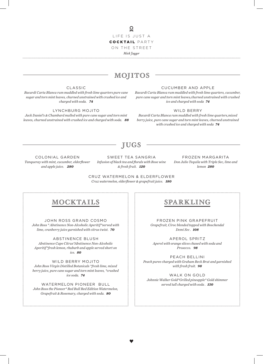#### $\overline{Q}$ LIFE IS JUST A COCKTAIL PARTY ON THE STREET *Mick Jagger*

## MOJITOS

#### CLASSIC

*Bacardi Carta Blanca rum muddled with fresh lime quarters pure cane sugar and torn mint leaves, churned unstrained with crushed ice and charged with soda. 74*

#### LYNCHBURG MOJITO

*Jack Daniel's & Chambard mulled with pure cane sugar and torn mint leaves, churned unstrained with crushed ice and charged with soda. 88*

#### CUCUMBER AND APPLE

*Bacardi Carta Blanca rum muddled with fresh lime quarters, cucumber, pure cane sugar and torn mint leaves,churned unstrained with crushed ice and charged with soda 74*

#### WILD BERRY

*Bacardi Carta Blanca rum muddled with fresh lime quarters,mixed berry juice, pure cane sugar and torn mint leaves, churned unstrained with crushed ice and charged with soda 74*

## JUGS

COLONIAL GARDEN *Tanqueray with mint, cucumber, elderflower and apple juice. 280*

SWEET TEA SANGRIA *Infusion of black tea and florals with Rose wine & fresh fruit. 120*

FROZEN MARGARITA *Don Julio Tequila with Triple Sec, lime and lemon 280*

CRUZ WATERMELON & ELDERFLOWER *Cruz watermelon, elderflower & grapefruit juice. 180*

## MOCKTAILS

JOHN ROSS GRAND COSMO *John Ross \* Abstinence Non-Alcoholic Aperitif\*served with lime, cranberry juice garnished with citrus twist. 70*

ABSTINENCE BLUSH *Abstinence Cape Citrus\*Abstinence Non-Alcoholic Aperitif\*fresh lemon, rhubarb and apple served short on ice. 80*

WILD BERRY MOJITO *John Ross Virgin Distilled Botanicals \*fresh lime, mixed berry juice, pure cane sugar and torn mint leaves, \*crushed ice soda. 74*

WATERMELON PIONEER BULL *John Ross the Pioneer\* Red Bull Red Edition Watermelon, Grapefruit & Rosemary, charged with soda. 80*

## SPARKLING

FROZEN PINK GRAPEFRUIT *Grapefruit, Ciroc blended topped with Boschendal Demi Sec . 108*

APEROL SPRITZ *Aperol with orange slices chased with soda and Prosecco. 98*

PEACH BELLINI *Peach puree charged with Graham Beck Brut and garnished with fresh fruit. 98*

WALK ON GOLD *Johnnie Walker Gold\*Grilled pineapple\* Gold shimmer served tall charged with soda . 130*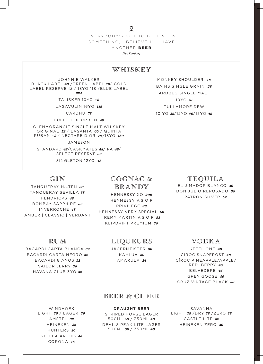#### $\overline{Q}$

EVERYBODY'S GOT TO BELIEVE IN SOMETHING, I BELIEVE I'LL HAVE

ANOTHER BEER

*Don Kardong*

#### WHISKEY

JOHNNIE WALKER BLACK LABEL *48* /GREEN LABEL *70*/ GOLD LABEL RESERVE *78* / 18YO 118 /BLUE LABEL *224*

TALISKER 10YO *78*

LAGAVULIN 16YO *118*

CARDHU *78*

BULLEIT BOURBON *48*

GLENMORANGIE SINGLE MALT WHISKEY ORIGINAL *52* / LASANTA *60* / QUINTA RUBAN *72* / NECTARE D'OR *78 /* 18YO *180*

JAMESON

STANDARD *42*/CASKMATES *48*/IPA *48*/ SELECT RESERVE *52* 

SINGLETON 12YO *48*

MONKEY SHOULDER *48* BAINS SINGLE GRAIN *28* ARDBEG SINGLE MALT 10YO *78* TULLAMORE DEW 10 YO *35*/12YO *40*/15YO *45*

## GIN

TANQUERAY No.TEN *38* TANQUERAY SEVILLA *38* HENDRICKS *48* BOMBAY SAPPHIRE *32* INVERROCHE *48* AMBER | CLASSIC | VERDANT

Brandy HENNESSY XO *200* HENNESSY V.S.O.P

COGNAC &

PRIVILEGE *88* HENNESSY VERY SPECIAL *60* REMY MARTIN V.S.O.P *88* KLIPDRIFT PREMIUM *36*

# RUM

BACARDI CARTA BLANCA *32* BACARDI CARTA NEGRO *32* BACARDI 8 ANOS *32* SAILOR JERRY *36* HAVANA CLUB 3YO *32*

### Liqueurs

JÄGERMEISTER *30* KAHLUA *30* AMARULA *24*

TEQUILA EL JIMADOR BLANCO *30* DON JULIO REPOSADO *56* PATRON SILVER *62*

## Vodka

KETEL ONE *40* CÎROC SNAPFROST *48* CÎROC PINEAPPLE/APPLE/ RED BERRY *45* BELVEDERE *46* GREY GOOSE *40* CRUZ VINTAGE BLACK *38*

WINDHOEK LIGHT *30* / LAGER *30* AMSTEL *32* HEINEKEN *36* HUNTERS *36* STELLA ARTOIS *46* CORONA *46*

#### BEER & CIDER

DRAUGHT BEER STRIPED HORSE LAGER 500ML *58* / 350ML *40* DEVILS PEAK LITE LAGER 500ML *58* / 350ML *40*

SAVANNA LIGHT *38* /DRY *38* /ZERO *38* CASTLE LITE *32* HEINEKEN ZERO *30*